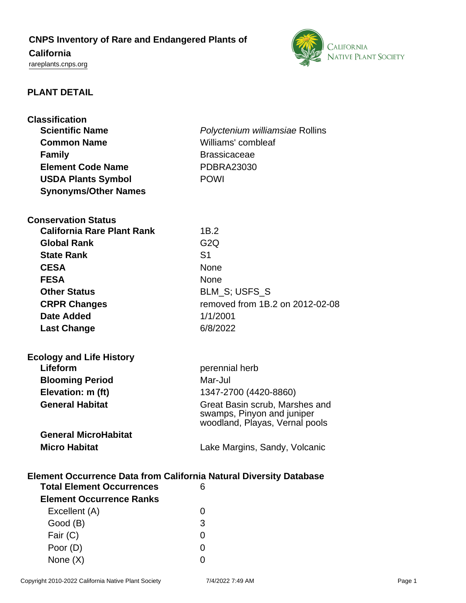# **CNPS Inventory of Rare and Endangered Plants of**

# **California**

<rareplants.cnps.org>



# **PLANT DETAIL**

| <b>Classification</b>                                                     |                                                              |
|---------------------------------------------------------------------------|--------------------------------------------------------------|
| <b>Scientific Name</b>                                                    | Polyctenium williamsiae Rollins                              |
| <b>Common Name</b>                                                        | Williams' combleaf                                           |
| <b>Family</b>                                                             | <b>Brassicaceae</b>                                          |
| <b>Element Code Name</b>                                                  | <b>PDBRA23030</b>                                            |
| <b>USDA Plants Symbol</b>                                                 | <b>POWI</b>                                                  |
| <b>Synonyms/Other Names</b>                                               |                                                              |
|                                                                           |                                                              |
| <b>Conservation Status</b>                                                |                                                              |
| <b>California Rare Plant Rank</b>                                         | 1B.2                                                         |
| <b>Global Rank</b>                                                        | G <sub>2</sub> Q                                             |
| <b>State Rank</b>                                                         | S <sub>1</sub>                                               |
| <b>CESA</b>                                                               | None                                                         |
| <b>FESA</b>                                                               | <b>None</b>                                                  |
| <b>Other Status</b>                                                       | BLM_S; USFS_S                                                |
| <b>CRPR Changes</b>                                                       | removed from 1B.2 on 2012-02-08                              |
| Date Added                                                                | 1/1/2001                                                     |
| <b>Last Change</b>                                                        | 6/8/2022                                                     |
|                                                                           |                                                              |
|                                                                           |                                                              |
| <b>Ecology and Life History</b>                                           |                                                              |
| Lifeform                                                                  | perennial herb                                               |
| <b>Blooming Period</b>                                                    | Mar-Jul                                                      |
| Elevation: m (ft)                                                         | 1347-2700 (4420-8860)                                        |
| <b>General Habitat</b>                                                    | Great Basin scrub, Marshes and<br>swamps, Pinyon and juniper |
|                                                                           | woodland, Playas, Vernal pools                               |
| <b>General MicroHabitat</b>                                               |                                                              |
| <b>Micro Habitat</b>                                                      | Lake Margins, Sandy, Volcanic                                |
|                                                                           |                                                              |
| <b>Element Occurrence Data from California Natural Diversity Database</b> |                                                              |
| <b>Total Element Occurrences</b>                                          | 6                                                            |
| <b>Element Occurrence Ranks</b>                                           |                                                              |
| Excellent (A)                                                             | 0                                                            |
| Good (B)                                                                  | 3                                                            |
|                                                                           |                                                              |
| Fair (C)                                                                  | 0                                                            |
| Poor (D)                                                                  | 0                                                            |

None  $(X)$  0